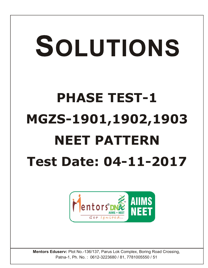## SOLUTIONS **PHASE TEST-1 MGZS-1901,1902,1903 NEET PATTERN Test Date: 04-11-2017**



**Mentors Eduserv:** Plot No.-136/137, Parus Lok Complex, Boring Road Crossing, Patna-1, Ph. No. : 0612-3223680 / 81, 7781005550 / 51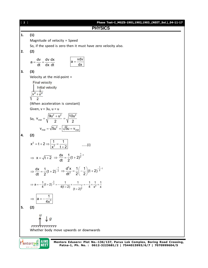[ **2** ] **Phase Test–I\_MGZS-1901,1902,1903\_(NEET\_Sol.)\_04-11-17 PHYSICS 1. (1)** Magnitude of velocity = Speed So, if the speed is zero then it must have zero velocity also. **2. (2)** dv dv dx a dt dx dt vdv a dx **3. (3)** Velocity at the mid-point = (When acceleration is constant) Given, v = 3u, u = u So, 2 2 2 mid 9u u 10u v 2 2 2 mid mid v 5u 5u v **4. (2)** 2 2 1 1 x t 2 x t 2 .....(i) x t 2 1 1 2 dx 1 (t 2) dt 2 1 2 dx 1 (t 2) dt 2 2 1 1 2 2 d x 1 1 (t 2) dt 2 2 3 2 1 2 2 1 1 1 1 1 1 a (t 2) 4 4(t 2) 4 x x (t 2) 3 1 a 4x **5. (2)** Whether body move upwards or downwards

**CONTRACT STREET** 

**Mentors Eduserv: Plot No.-136/137, Parus Lok Complex, Boring Road Crossing, Patna-1, Ph. No. : 0612-3223681/2 | 7544015993/6/7 | 7070999604/5**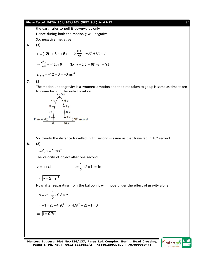**Phase Test–I Moz5-1901,1902,1903 (NET–S01),04-11-17**  
\nthe earth tries to pull it downwards only.  
\nHence during both the motion g will negative.  
\nSo, negative, negative  
\n6. (3)  
\n
$$
x = (-2t^3 + 3t^2 + 5)m \Rightarrow \frac{dx}{dt} = -6t^2 + 6t = v
$$
\n
$$
\Rightarrow \frac{d^2x}{dt^2} = -12t + 6
$$
 (for v = 0,6t = 6t<sup>2</sup> ⇒ t = 1s)  
\na  $\vert_{t=1} = -12 + 6 = -6ms^{-2}$   
\n7. (1)  
\nThe motion under gravity is a symmetric motion and the time taken to go up is same as time taken to  
\nthe common back to the initial position.  
\n $t = 5s$   
\n $4s \farrow 6s$   
\n $3s + 7s$   
\n $4s \farrow 6s$   
\n $3s + 7s$   
\n $1^2$  as  
\n $1^4$  so  $\frac{1}{2}10^n$  second  
\nSo, clearly the distance travelled in 1<sup>st</sup> second is same as that travelled in 10<sup>th</sup> second.  
\n8. (2)  
\n $u = 0, a = 2 ms^{-2}$   
\nThe velocity of object after one second  
\n $v = u + at$   $s = \frac{1}{2} \times 2 \times t^2 = 1m$   
\n $\Rightarrow \frac{v = 2ms^{-1}}{v = 2ms^{-1}}$   
\nNow after separating from the balloon it will move under the effect of gravity alone  
\n $-h = vt - \frac{1}{2} \times 9.8 \times t^2$   
\n $\Rightarrow -1 = 2t - 4.9t^2 \Rightarrow 4.9t^2 - 2t - 1 = 0$ 

 $\Rightarrow$   $\boxed{t = 0.7s}$ 

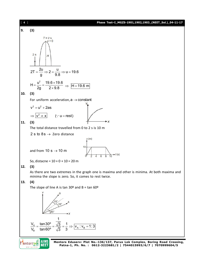

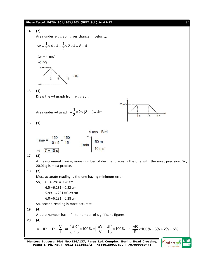

**Mentors Eduserv: Plot No.-136/137, Parus Lok Complex, Boring Road Crossing, Patna-1, Ph. No. : 0612-3223681/2 | 7544015993/6/7 | 7070999604/5**

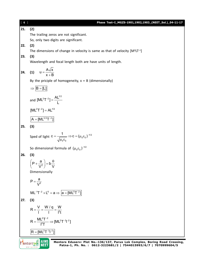| [6] | Phase Test-I_MGZS-1901,1902,1903_(NEET_Sol.)_04-11-17                                                                                                                                      |
|-----|--------------------------------------------------------------------------------------------------------------------------------------------------------------------------------------------|
| 21. | (2)                                                                                                                                                                                        |
|     | The trailing zeros are not significant.                                                                                                                                                    |
|     | So, only two digits are significant.                                                                                                                                                       |
| 22. | (2)                                                                                                                                                                                        |
|     | The dimensions of change in velocity is same as that of velocity $[M^0LT^{-1}]$                                                                                                            |
| 23. | (3)                                                                                                                                                                                        |
|     | Wavelength and focal length both are have units of length.                                                                                                                                 |
|     |                                                                                                                                                                                            |
| 24. | (1) $u = \frac{A\sqrt{x}}{x + B}$                                                                                                                                                          |
|     | By the priciple of homogeneity, $x = B$ (dimensionally)                                                                                                                                    |
|     |                                                                                                                                                                                            |
|     | $\Rightarrow$ $B = [L]$                                                                                                                                                                    |
|     | and $[ML^2T^{-2}] = \frac{AL^{1/2}}{I}$                                                                                                                                                    |
|     | $[ML^2T^{-2}] = AL^{1/2}$                                                                                                                                                                  |
|     | $A = [ML^{3/2}T^{-2}]$                                                                                                                                                                     |
| 25. | (3)                                                                                                                                                                                        |
|     | Sped of light $C = \frac{1}{\sqrt{\mu_0 \epsilon_0}} \Rightarrow C = (\mu_0 \epsilon_0)^{-1/2}$                                                                                            |
|     | So dimensional formula of $(\mu_0 \varepsilon_0)^{-1/2}$                                                                                                                                   |
| 26. | (3)                                                                                                                                                                                        |
|     | $\left(P + \frac{a}{V^2}\right) = b\frac{\theta}{V}$                                                                                                                                       |
|     | Dimensionally                                                                                                                                                                              |
|     |                                                                                                                                                                                            |
|     | $P = \frac{a}{V^2}$                                                                                                                                                                        |
|     | $ML^{-1}T^{-2} \times L^6 = a \Rightarrow  a = [ML^5T^{-2}] $                                                                                                                              |
| 27. | (3)                                                                                                                                                                                        |
|     | $R = \frac{V}{I} = \frac{W/q}{I} = \frac{W}{I^2t}$                                                                                                                                         |
|     | $R = \frac{ML^2T^{-2}}{l^2T} \Rightarrow [ML^2T^{-3}l^{-2}]$                                                                                                                               |
|     | $ R = [ML^2T^{-3}l^{-2}]$                                                                                                                                                                  |
|     | <b>AIIMS</b>                                                                                                                                                                               |
|     | Mentors Eduserv: Plot No.-136/137, Parus Lok Complex, Boring Road Crossing,<br><b>Mentors</b> DNA<br>NEET<br>Patna-1, Ph. No.: 0612-3223681/2   7544015993/6/7   7070999604/5<br>Got Ignit |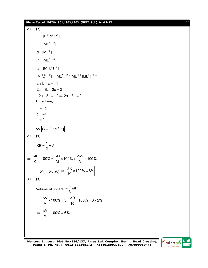**28. (2)**  $G = [E^a \ d^b \ P^c]$  $E = [ML^2T^{-2}]$  $\mathsf{d} = [\mathsf{ML}^{-3}]$  $P = [ML^2T^{-3}]$  $G = [M^{-1}L^3T^{-2}]$  $[M^{-1}L^{3}T^{-2}] = [ML^{2}T^{-2}]^{a} [ML^{-3}]^{b} [ML^{2}T^{-3}]^{c}$  $a + b + c = -1$  $2a - 3b + 2c = 3$  $-2a - 3c = -2 \Rightarrow 2a + 3c = 2$ On solving,  $a = -2$  $b = -1$  $c = 2$ So  $|G = [E^{-2}d^{-1}P^2]|$ **29. (1)**  $KE = \frac{1}{2}MV^2$ 2  $=$  $\frac{K}{2}$  × 100% =  $\frac{\Delta M}{M}$  × 100% +  $\frac{2\Delta V}{M}$  × 100% K M V  $\Rightarrow \frac{\Delta K}{K} \times 100\% = \frac{\Delta M}{M} \times 100\% + \frac{2\Delta V}{M} \times 1$  $= 2\% + 2 \times 3\%$  $\frac{\text{K}}{\text{K}} \times 100\% = 8\%$ K  $\Rightarrow$   $\frac{\Delta K}{16} \times 100\% = 8$ **30. (3)** Volume of sphere  $=$   $\frac{4}{3}\pi R^3$ 3  $=\frac{1}{6}\pi F$  $\frac{\text{V}}{\text{V}}$  × 100% = 3 ×  $\frac{\Delta R}{R}$  × 100% = 3 × 2% V R  $\Rightarrow \frac{\Delta V}{V} \times 100\% = 3 \times \frac{\Delta R}{R} \times 100\% = 3 \times 2$  $\frac{V}{I}$  × 100% = 6% V  $\Rightarrow$   $\frac{\Delta V}{V} \times 100\% = 6$ 

**Mentors Eduserv: Plot No.-136/137, Parus Lok Complex, Boring Road Crossing, Patna-1, Ph. No. : 0612-3223681/2 | 7544015993/6/7 | 7070999604/5**



**Phase Test–I\_MGZS-1901,1902,1903\_(NEET\_Sol.)\_04-11-17** [ **7** ]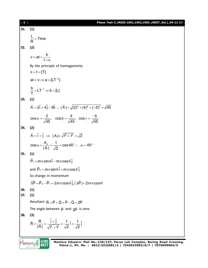| [ 8 ] | Phase Test-I_MGZS-1901,1902,1903_(NEET_Sol.)_04-11-17                                                                                                       |
|-------|-------------------------------------------------------------------------------------------------------------------------------------------------------------|
| 31.   | (1)                                                                                                                                                         |
|       | $\frac{L}{R}$ = Time                                                                                                                                        |
| 32.   | (2)                                                                                                                                                         |
|       | $v = at + \frac{b}{t + c}$                                                                                                                                  |
|       |                                                                                                                                                             |
|       | By the principle of homogeeneity                                                                                                                            |
|       | $c = t = [T]$                                                                                                                                               |
|       | $at = v \Rightarrow a = [LT^{-2}]$                                                                                                                          |
|       | $\frac{b}{T} = LT^{-1} \Rightarrow b = [L]$                                                                                                                 |
| 33.   | (1)                                                                                                                                                         |
|       | $\vec{A} = 2\hat{i} + 4\hat{j} - 5\hat{k}$ : $ \vec{A}  = \sqrt{(2)^2 + (4)^2 + (-5)^2} = \sqrt{45}$                                                        |
|       | $\cos \alpha = \frac{2}{\sqrt{45}}$ , $\cos \beta = \frac{4}{\sqrt{45}}$ , $\cos \gamma = \frac{-5}{\sqrt{45}}$                                             |
| 34.   | (2)                                                                                                                                                         |
|       | $\vec{A} = \hat{i} + \hat{j} \implies  A  = \sqrt{1^2 + 1^2} = \sqrt{2}$                                                                                    |
|       | $\cos \alpha = \frac{A_x}{ A } = \frac{1}{\sqrt{2}} = \cos 45^\circ$ : $\alpha = 45^\circ$                                                                  |
| 35.   | (1)                                                                                                                                                         |
|       | $\vec{P}_1$ = m v sin $\theta$ $\hat{i}$ – m v cos $\theta$ $\hat{j}$                                                                                       |
|       | and $\vec{P}_2 = m v \sin \theta \hat{i} + m v \cos \theta \hat{j}$                                                                                         |
|       | So change in momentum                                                                                                                                       |
|       | $\overrightarrow{\Delta P} = \overrightarrow{P}_2 - \overrightarrow{P}_1 = 2m$ v cos $\theta$ $\hat{j}$ , $ \Delta \overrightarrow{P}  = 2m$ v cos $\theta$ |
| 36.   | (1)                                                                                                                                                         |
| 37.   | (1)                                                                                                                                                         |
|       | Resultant $\vec{R} = \vec{P} + \vec{Q} + \vec{P} - \vec{Q} = 2\vec{P}$                                                                                      |
|       | The angle between $\vec{p}$ and $2\vec{p}$ is zero.                                                                                                         |
| 38.   | (3)                                                                                                                                                         |
|       | $\hat{R} = \frac{\vec{R}}{IR} = \frac{\hat{i} + \hat{j}}{\sqrt{1^2 + 1^2}} = \frac{1}{\sqrt{2}} \hat{i} + \frac{1}{\sqrt{2}} \hat{j}$                       |
|       |                                                                                                                                                             |
|       | IIMS<br>Mentors Eduserv: Plot No.-136/137, Parus Lok Complex, Boring Road Crossing,<br>Patna-1, Ph. No.: 0612-3223681/2   7544015993/6/7   7070999604/5     |
|       |                                                                                                                                                             |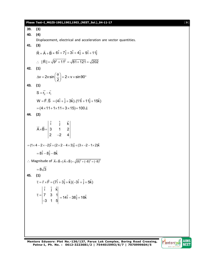**Phase Test–I\_MGZS-1901,1902,1903\_(NEET\_Sol.)\_04-11-17** [ **9** ] **39. (3) 40. (4)** Displacement, electrical and acceleration are vector quantities. **41. (3)**  $R = A + B$  $\vec{R} = \vec{A} + \vec{B} = 6\hat{i} + 7\hat{j} + 3\hat{i} + 4\hat{j} = 9\hat{i} + 11\hat{j}$  $\therefore$   $|\vec{R}| = \sqrt{9^2 + 11^2} = \sqrt{81 + 121} = \sqrt{202}$  $\rightarrow$ **42. (1)** v = 2v sin $\vert \frac{0}{2} \vert = 2 \times$  v  $\times$  sin 90 2  $\Delta v = 2v \sin \left( \frac{\theta}{2} \right) = 2 \times v \times \sin 90^{\circ}$ **43. (1)**  $S = r_2 - r_1$  $\rightarrow$  $W = \vec{F} \cdot \vec{S} = (4\hat{i} + \hat{j} + 3\hat{k}).(11\hat{i} + 11\hat{j} + 15\hat{k})$  $=(4 \times 11 + 1 \times 11 + 3 \times 15) = 100$  J. **44. (2)** ˆ ˆ ˆ i j k  $A \times B = |3 \t1 \t2 \t$ 2  $-2$  4  $\times$ B=| - $\rightarrow$   $\rightarrow$  $= (1 \times 4 - 2 \times -2)\hat{i} + (2 \times 2 - 4 \times 3)\hat{j} + (3 \times -2 - 1 \times 2)\hat{k}$  $= 8\hat{i} - 8\hat{j} - 8\hat{k}$  $\therefore$  Magnitude of  $\vec{A} \times \vec{B} = |\vec{A} \times \vec{B}| = \sqrt{(8)^2 + (-8)^2 + (-8)^2}$  $=8\sqrt{3}$ **45. (1)**  $\vec{\tau} = \vec{r} \times \vec{F} = (7\hat{i} + 3\hat{j} + \hat{k})(-3\hat{i} + \hat{j} + 5\hat{k})$ ˆ ˆ ˆ i j k 7 3 1 3 1 5  $\vec{\tau} =$ - $\rightarrow$  $= 14\hat{i} - 38\hat{j} + 16\hat{k}$ 

**Mentors Eduserv: Plot No.-136/137, Parus Lok Complex, Boring Road Crossing, Patna-1, Ph. No. : 0612-3223681/2 | 7544015993/6/7 | 7070999604/5**

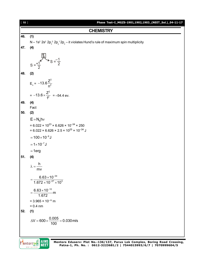

Mentors DNE **AIIMS**<br>NEET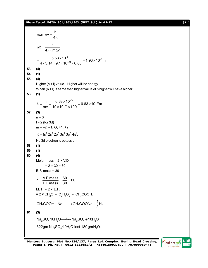## **Phase Test–I\_MGZS-1901,1902,1903\_(NEET\_Sol.)\_04-11-17** [ **11** ]

$$
\Delta x \text{ m } \Delta v = \frac{h}{4\pi}
$$
\n
$$
\Delta x = \frac{h}{4\pi \times m \Delta v}
$$
\n
$$
= \frac{6.63 \times 10^{-34}}{4 \times 3.14 \times 9.1 \times 10^{-31} \times 0.03} = 1.93 \times 10^{-3} \text{ m}
$$
\n53. (4)\n54. (1)\n55. (4)\nHigher (n + 1) value - Higher will be energy.  
\nWhen (n + 1) is same then higher value of n higher will have higher.\n56. (1)\n
$$
\lambda = \frac{h}{mv} = \frac{6.63 \times 10^{-34}}{10 \times 10^{-16} \times 100} = 6.63 \times 10^{-31} \text{ m}
$$
\n57. (3)\n
$$
n = 3
$$
\n
$$
1 = 2 \text{ (for 3d)}
$$
\n
$$
m = -2, -1, 0, +1, +2
$$
\n
$$
K - 1s^2 2s^2 2p^6 3s^2 3p^6 4s^1.
$$
\nNo 3d electron is potassium\n59. (1)\n60. (4)\nMolar mass = 2 × V.D\n
$$
= 2 \times 30 = 60
$$
\nE.F. mass = 30\n
$$
n = \frac{MF \text{ mass}}{EF \text{. mass}} = \frac{60}{30} = 60
$$
\nM. F. = 2 × E.F.  
\n= 2 × CH<sub>2</sub>O = C<sub>2</sub>H<sub>4</sub>O<sub>2</sub> = CH<sub>3</sub>COOH.  
\nCH<sub>3</sub>COOH + Na — → CH<sub>3</sub>COONa +  $\frac{1}{2}$ H<sub>2</sub>\n61. (3)\nNa<sub>2</sub>SO<sub>4</sub>10H<sub>2</sub>O.  $\frac{3}{2}$ 2g<sub>2</sub> M<sub>2</sub>SO<sub>4</sub>10H<sub>2</sub>O. 322gm Na<sub>2</sub>SO<sub>4</sub>10H<sub>2</sub>O.

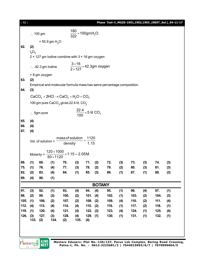| $[12]$ |                                                    |                              |                                                                      |                             |                                                    |                                            |     | Phase Test-I_MGZS-1901,1902,1903_(NEET_Sol.)_04-11-17                                                                                           |     |      |     |      |     |  |
|--------|----------------------------------------------------|------------------------------|----------------------------------------------------------------------|-----------------------------|----------------------------------------------------|--------------------------------------------|-----|-------------------------------------------------------------------------------------------------------------------------------------------------|-----|------|-----|------|-----|--|
|        |                                                    | $\therefore$ 100 gm          |                                                                      |                             | $\frac{180}{322}$ × 100gmH <sub>2</sub> O.         |                                            |     |                                                                                                                                                 |     |      |     |      |     |  |
|        |                                                    |                              | $= 55.9$ gm H <sub>2</sub> O                                         |                             |                                                    |                                            |     |                                                                                                                                                 |     |      |     |      |     |  |
| 62.    | (2)                                                |                              |                                                                      |                             |                                                    |                                            |     |                                                                                                                                                 |     |      |     |      |     |  |
|        | $I_2O_3$                                           |                              |                                                                      |                             |                                                    |                                            |     |                                                                                                                                                 |     |      |     |      |     |  |
|        |                                                    |                              | 2 × 127 gm lodine combine with 3 × 16 gm oxygen                      |                             |                                                    |                                            |     |                                                                                                                                                 |     |      |     |      |     |  |
|        |                                                    | $\therefore$ .42.3 gm lodine |                                                                      |                             | $\frac{3\times16}{2\times127}\times$ 42.3gm oxygen |                                            |     |                                                                                                                                                 |     |      |     |      |     |  |
|        |                                                    | $= 8$ gm oxygen              |                                                                      |                             |                                                    |                                            |     |                                                                                                                                                 |     |      |     |      |     |  |
| 63.    | (2)                                                |                              |                                                                      |                             |                                                    |                                            |     |                                                                                                                                                 |     |      |     |      |     |  |
| 64.    | (3)                                                |                              |                                                                      |                             |                                                    |                                            |     | Empirical and molecular formula mass has same percentage composition.                                                                           |     |      |     |      |     |  |
|        |                                                    |                              | $CaCO3 + 2HCl \rightarrow CaCl2 + H2O + CO2$                         |                             |                                                    |                                            |     |                                                                                                                                                 |     |      |     |      |     |  |
|        |                                                    |                              | 100 gm pure CaCO <sub>3</sub> gives 22.4 lit. $CO2$                  |                             |                                                    |                                            |     |                                                                                                                                                 |     |      |     |      |     |  |
|        |                                                    |                              |                                                                      |                             |                                                    |                                            |     |                                                                                                                                                 |     |      |     |      |     |  |
|        |                                                    | $\therefore$ 5gm pure        |                                                                      |                             |                                                    | $\frac{22.4}{100}$ × 5 lit CO <sub>2</sub> |     |                                                                                                                                                 |     |      |     |      |     |  |
| 65.    | (4)                                                |                              |                                                                      |                             |                                                    |                                            |     |                                                                                                                                                 |     |      |     |      |     |  |
| 66.    | (4)                                                |                              |                                                                      |                             |                                                    |                                            |     |                                                                                                                                                 |     |      |     |      |     |  |
| 67.    | (4)                                                |                              |                                                                      |                             |                                                    |                                            |     |                                                                                                                                                 |     |      |     |      |     |  |
|        |                                                    | Vol. of solution =           |                                                                      | mass of solution<br>density |                                                    | 1120<br>1.15                               |     |                                                                                                                                                 |     |      |     |      |     |  |
|        | Molarity $=$                                       |                              | $\frac{120 \times 1000}{25} \times 1.15 = 2.05 M.$<br>$60\times1120$ |                             |                                                    |                                            |     |                                                                                                                                                 |     |      |     |      |     |  |
| 68.    | (1)                                                | 69.                          | (1)                                                                  | 70.                         | (3)                                                | 71.                                        | (2) | 72.                                                                                                                                             | (3) | 73.  | (3) | 74.  | (3) |  |
| 75.    | (1)                                                | 76.                          | (4)                                                                  | 77.                         | (3)                                                | 78.                                        | (2) | 79.                                                                                                                                             | (2) | 80.  | (3) | 81.  | (3) |  |
| 82.    | (2)                                                | 83.                          | (4)                                                                  | 84.                         | (1)                                                | 85.                                        | (3) | 86.                                                                                                                                             | (1) | 87.  | (1) | 88.  | (3) |  |
| 89.    | (4)                                                | 90.                          | (1)                                                                  |                             |                                                    |                                            |     |                                                                                                                                                 |     |      |     |      |     |  |
|        |                                                    |                              |                                                                      |                             |                                                    |                                            |     | <b>BOTANY</b>                                                                                                                                   |     |      |     |      |     |  |
| 91.    | (3)                                                | 92.                          | (1)                                                                  | 93.                         | (4)                                                | 94.                                        | (4) | 95.                                                                                                                                             | (1) | 96.  | (4) | 97.  | (1) |  |
| 98.    | (2)                                                | 99.                          | (3)                                                                  | 100.                        | (2)                                                | 101.                                       | (4) | 102.                                                                                                                                            | (1) | 103. | (2) | 104. | (3) |  |
| 105.   | (1)                                                | 106.                         | (2)                                                                  | 107.                        | (2)                                                | 108.                                       | (2) | 109.                                                                                                                                            | (4) | 110. | (2) | 111. | (4) |  |
| 112.   | (4)                                                | 113.                         | (4)                                                                  | 114.                        | (4)                                                | 115.                                       | (2) | 116.                                                                                                                                            | (1) | 117. | (2) | 118. | (1) |  |
| 119.   | (1)                                                | 120.                         | (4)                                                                  | 121.                        | (4)                                                | 122.                                       | (3) | 123.                                                                                                                                            | (4) | 124. | (1) | 125. | (4) |  |
| 126.   | (3)<br>133.                                        | 127.<br>(2)                  | (3)<br>134.                                                          | 128.<br>(2)                 | (4)<br>135.                                        | $129.$ (1)<br>(4)                          |     | 130.                                                                                                                                            | (1) | 131. | (1) | 132. | (1) |  |
|        |                                                    |                              |                                                                      |                             |                                                    |                                            |     |                                                                                                                                                 |     |      |     |      |     |  |
|        |                                                    |                              |                                                                      |                             |                                                    |                                            |     |                                                                                                                                                 |     |      |     |      |     |  |
|        | <b>entors</b> DNE<br>AIMS . NEET<br>$G$ ct Ignited | <b>AIIMS</b><br><b>NEET</b>  |                                                                      |                             |                                                    |                                            |     | Mentors Eduserv: Plot No.-136/137, Parus Lok Complex, Boring Road Crossing,<br>Patna-1, Ph. No.: 0612-3223681/2   7544015993/6/7   7070999604/5 |     |      |     |      |     |  |